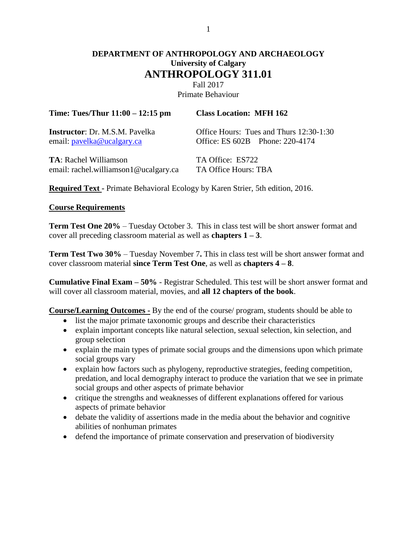# **DEPARTMENT OF ANTHROPOLOGY AND ARCHAEOLOGY University of Calgary ANTHROPOLOGY 311.01**

Fall 2017 Primate Behaviour

| Time: Tues/Thur $11:00 - 12:15$ pm     | <b>Class Location: MFH 162</b>          |  |  |
|----------------------------------------|-----------------------------------------|--|--|
| <b>Instructor</b> : Dr. M.S.M. Pavelka | Office Hours: Tues and Thurs 12:30-1:30 |  |  |
| email: pavelka@ucalgary.ca             | Office: ES 602B Phone: 220-4174         |  |  |
| <b>TA</b> : Rachel Williamson          | TA Office: ES722                        |  |  |
| email: rachel.williamson1@ucalgary.ca  | TA Office Hours: TBA                    |  |  |

**Required Text -** Primate Behavioral Ecology by Karen Strier, 5th edition, 2016.

#### **Course Requirements**

**Term Test One 20%** – Tuesday October 3. This in class test will be short answer format and cover all preceding classroom material as well as **chapters 1 – 3**.

**Term Test Two 30%** – Tuesday November 7**.** This in class test will be short answer format and cover classroom material **since Term Test One**, as well as **chapters 4 – 8**.

**Cumulative Final Exam – 50%** - Registrar Scheduled. This test will be short answer format and will cover all classroom material, movies, and **all 12 chapters of the book**.

**Course/Learning Outcomes -** By the end of the course/ program, students should be able to

- list the major primate taxonomic groups and describe their characteristics
- explain important concepts like natural selection, sexual selection, kin selection, and group selection
- explain the main types of primate social groups and the dimensions upon which primate social groups vary
- explain how factors such as phylogeny, reproductive strategies, feeding competition, predation, and local demography interact to produce the variation that we see in primate social groups and other aspects of primate behavior
- critique the strengths and weaknesses of different explanations offered for various aspects of primate behavior
- debate the validity of assertions made in the media about the behavior and cognitive abilities of nonhuman primates
- defend the importance of primate conservation and preservation of biodiversity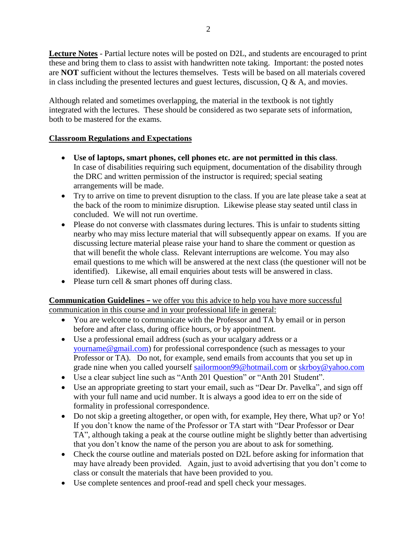**Lecture Notes** - Partial lecture notes will be posted on D2L, and students are encouraged to print these and bring them to class to assist with handwritten note taking. Important: the posted notes are **NOT** sufficient without the lectures themselves. Tests will be based on all materials covered in class including the presented lectures and guest lectures, discussion,  $Q \& A$ , and movies.

Although related and sometimes overlapping, the material in the textbook is not tightly integrated with the lectures. These should be considered as two separate sets of information, both to be mastered for the exams.

## **Classroom Regulations and Expectations**

- **Use of laptops, smart phones, cell phones etc. are not permitted in this class**. In case of disabilities requiring such equipment, documentation of the disability through the DRC and written permission of the instructor is required; special seating arrangements will be made.
- Try to arrive on time to prevent disruption to the class. If you are late please take a seat at the back of the room to minimize disruption. Likewise please stay seated until class in concluded. We will not run overtime.
- Please do not converse with classmates during lectures. This is unfair to students sitting nearby who may miss lecture material that will subsequently appear on exams. If you are discussing lecture material please raise your hand to share the comment or question as that will benefit the whole class. Relevant interruptions are welcome. You may also email questions to me which will be answered at the next class (the questioner will not be identified). Likewise, all email enquiries about tests will be answered in class.
- Please turn cell  $&$  smart phones off during class.

#### **Communication Guidelines –** we offer you this advice to help you have more successful communication in this course and in your professional life in general:

- You are welcome to communicate with the Professor and TA by email or in person before and after class, during office hours, or by appointment.
- Use a professional email address (such as your ucalgary address or a [yourname@gmail.com\)](mailto:yourname@gmail.com) for professional correspondence (such as messages to your Professor or TA). Do not, for example, send emails from accounts that you set up in grade nine when you called yourself [sailormoon99@hotmail.com](mailto:sailormoon99@hotmail.com) or [skrboy@yahoo.com](mailto:skrboy@yahoo.com)
- Use a clear subject line such as "Anth 201 Question" or "Anth 201 Student".
- Use an appropriate greeting to start your email, such as "Dear Dr. Pavelka", and sign off with your full name and ucid number. It is always a good idea to err on the side of formality in professional correspondence.
- Do not skip a greeting altogether, or open with, for example, Hey there, What up? or Yo! If you don't know the name of the Professor or TA start with "Dear Professor or Dear TA", although taking a peak at the course outline might be slightly better than advertising that you don't know the name of the person you are about to ask for something.
- Check the course outline and materials posted on D2L before asking for information that may have already been provided. Again, just to avoid advertising that you don't come to class or consult the materials that have been provided to you.
- Use complete sentences and proof-read and spell check your messages.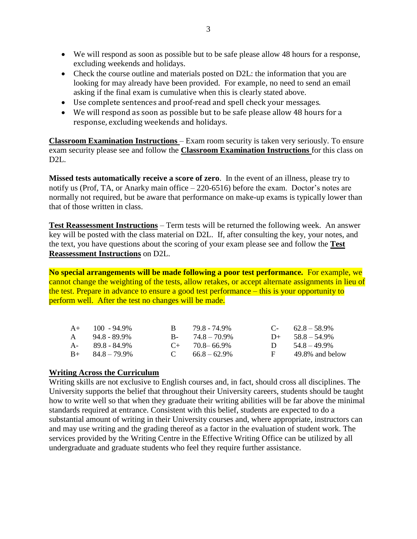- We will respond as soon as possible but to be safe please allow 48 hours for a response, excluding weekends and holidays.
- Check the course outline and materials posted on D2L: the information that you are looking for may already have been provided. For example, no need to send an email asking if the final exam is cumulative when this is clearly stated above.
- Use complete sentences and proof-read and spell check your messages.
- We will respond as soon as possible but to be safe please allow 48 hours for a response, excluding weekends and holidays.

**Classroom Examination Instructions** – Exam room security is taken very seriously. To ensure exam security please see and follow the **Classroom Examination Instructions** for this class on D2L.

**Missed tests automatically receive a score of zero**. In the event of an illness, please try to notify us (Prof, TA, or Anarky main office – 220-6516) before the exam. Doctor's notes are normally not required, but be aware that performance on make-up exams is typically lower than that of those written in class.

**Test Reassessment Instructions** – Term tests will be returned the following week. An answer key will be posted with the class material on D2L. If, after consulting the key, your notes, and the text, you have questions about the scoring of your exam please see and follow the **Test Reassessment Instructions** on D2L.

**No special arrangements will be made following a poor test performance***.* For example, we cannot change the weighting of the tests, allow retakes, or accept alternate assignments in lieu of the test. Prepare in advance to ensure a good test performance – this is your opportunity to perform well. After the test no changes will be made.

| $A+$ 100 - 94.9%        | B.           | 79.8 - 74.9%        | $C-$ 62.8 – 58.9%  |
|-------------------------|--------------|---------------------|--------------------|
| A 94.8 - 89.9%          |              | $B - 74.8 - 70.9\%$ | $D+ 58.8 - 54.9\%$ |
| A- 89.8 - 84.9%         |              | $C_{+}$ 70.8–66.9%  | D $54.8-49.9\%$    |
| $B_{+}$ $84.8 - 79.9\%$ | $\mathbf{C}$ | $66.8 - 62.9\%$     | 49.8% and below    |

#### **Writing Across the Curriculum**

Writing skills are not exclusive to English courses and, in fact, should cross all disciplines. The University supports the belief that throughout their University careers, students should be taught how to write well so that when they graduate their writing abilities will be far above the minimal standards required at entrance. Consistent with this belief, students are expected to do a substantial amount of writing in their University courses and, where appropriate, instructors can and may use writing and the grading thereof as a factor in the evaluation of student work. The services provided by the Writing Centre in the Effective Writing Office can be utilized by all undergraduate and graduate students who feel they require further assistance.